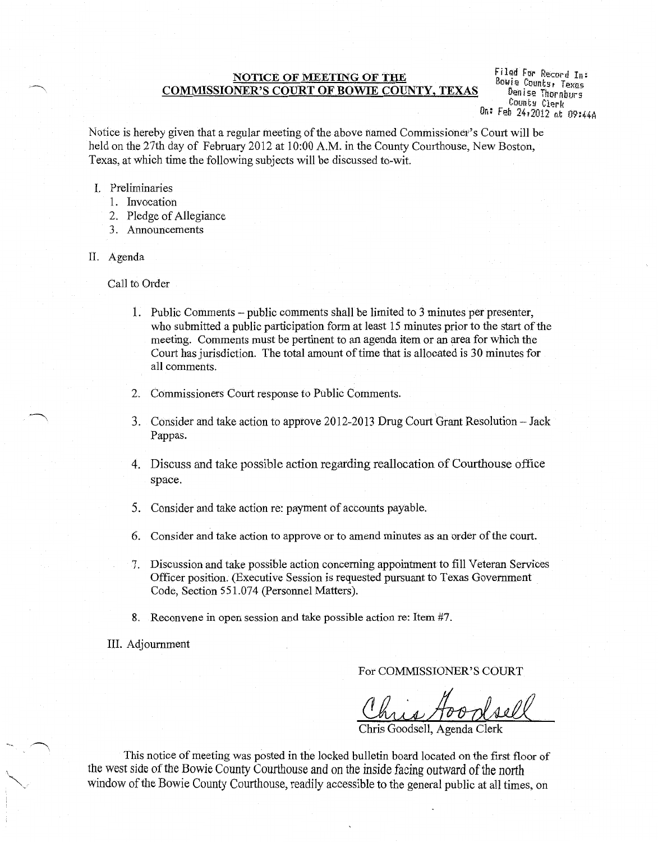# NOTICE OF MEETING OF THE COMMISSIONER'S COURT OF BOWIE COUNTY, TEXAS

Filed For Record In: Bowie Counts, Texas Denise Thornburg Count!! Clerk On: Feb 24r2012 at D9:44A

Notice is hereby given that a regular meeting of the above named Commissioner's Court will be held on the 27th day of February 2012 at 10:00 A.M. in the County Courthouse, New Boston, Texas, at which time the following subjects will be discussed to-wit.

- I. Preliminaries
	- 1. Invocation
	- 2. Pledge of Allegiance
	- 3. Announcements
- II. Agenda

Call to Order

- 1. Public Comments -public comments shall be limited to 3 minutes per presenter, who submitted a public participation form at least 15 minutes prior to the start of the meeting. Comments must be pertinent to an agenda item or an area for Which the Court has jurisdiction. The total amount of time that is allocated is 30 minutes for all comments.
- 2. Commissioners Court response to Public Comments.
- 3. Consider and take action to approve 2012-2013 Drug Court Grant Resolution- Jack Pappas.
- 4. Discuss and take possible action regarding reallocation of Courthouse office space.
- 5. Consider and take action re: payment of accounts payable.
- 6. Consider and take action to approve or to amend minutes as an order of the court.
- 7. Discussion and take possible action concerning appointment to fill Veteran Services Officer position. (Executive Session is requested pursuant to Texas Government Code, Section 551.074 (Personnel Matters).
- 8. Reconvene in open session and take possible action re: Item #7.
- III. Adjournment

For COMMISSIONER'S COURT

Chris Goodsell

Chris

This notice of meeting was posted in the locked bulletin board located on the first floor of the west side of the Bowie County Courthouse and on the inside facing outward of the north window of the Bowie County Courthouse, readily accessible to the general public at all times, on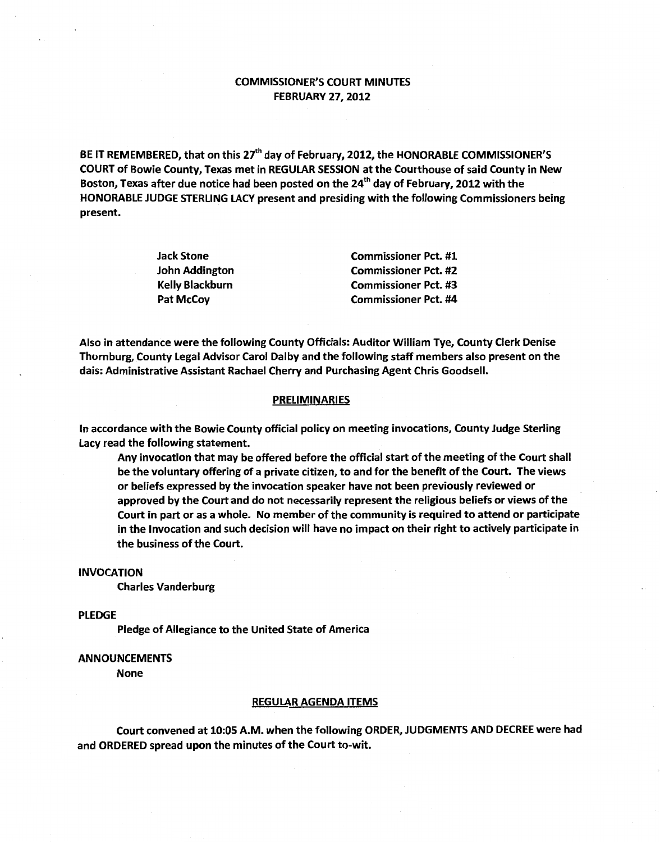## COMMISSIONER'S COURT MINUTES FEBRUARY 27,2012

BE IT REMEMBERED, that on this 27<sup>th</sup> day of February, 2012, the HONORABLE COMMISSIONER'S COURT of Bowie County, Texas met in REGULAR SESSION at the Courthouse of said County in New Boston, Texas after due notice had been posted on the 24<sup>th</sup> day of February, 2012 with the HONORABLE JUDGE STERLING LACY present and presiding with the following Commissioners being present.

| Jack Stone      | <b>Commissioner Pct. #1</b> |
|-----------------|-----------------------------|
| John Addington  | <b>Commissioner Pct. #2</b> |
| Kelly Blackburn | <b>Commissioner Pct. #3</b> |
| Pat McCoy       | <b>Commissioner Pct. #4</b> |

Also in attendance were the following County Officials: Auditor William Tye, County Clerk Denise Thornburg, County Legal Advisor Carol Dalby and the following staff members also present on the dais: Administrative Assistant Rachael Cherry and Purchasing Agent Chris Goodsell.

### **PRELIMINARIES**

In accordance with the Bowie County official policy on meeting invocations, County Judge Sterling Lacy read the following statement.

Any invocation that may be offered before the official start of the meeting of the Court shall be the voluntary offering of a private citizen, *to* and for the benefit of the Court. The views or beliefs expressed by the invocation speaker have not been previously reviewed or approved by the Court and do not necessarily represent the religious beliefs or views of the Court in part or as a whole. No member of the community is required to attend or participate in the Invocation and such decision will have no impact on their right to actively participate in the business of the Court.

### INVOCATION

Charles Vanderburg

PLEDGE

Pledge of Allegiance to the United State of America

### ANNOUNCEMENTS

None

#### REGULAR AGENDA ITEMS

Court convened at 10:05 A.M. when the following ORDER, JUDGMENTS AND DECREE were had and ORDERED spread upon the minutes of the Court to-wit.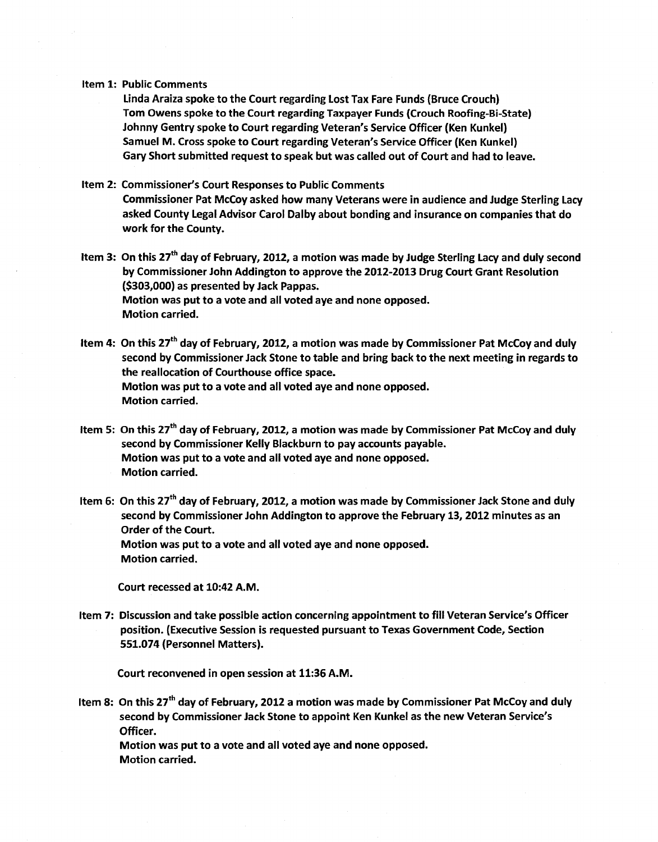#### Item 1: Public Comments

Linda Araiza spoke to the Court regarding Lost Tax Fare Funds (Bruce Crouch) Tom Owens spoke to the Court regarding Taxpayer Funds (Crouch Roofing-Bi-State} Johnny Gentry spoke to Court regarding Veteran's Service Officer (Ken Kunkel) Samuel M. Cross spoke to Court regarding Veteran's Service Officer (Ken Kunkel) Gary Short submitted request to speak but was called out of Court and had to leave.

## Item 2: Commissioner's Court Responses to Public Comments

Commissioner Pat McCoy asked how many Veterans were in audience and Judge Sterling Lacy asked County Legal Advisor Carol Dalby about bonding and insurance on companies that do work for the County.

- Item 3: On this 27<sup>th</sup> day of February, 2012, a motion was made by Judge Sterling Lacy and duly second by Commissioner John Addington to approve the 2012-2013 Drug Court Grant Resolution (\$303,000) as presented by Jack Pappas. Motion was put to a vote and all voted aye and none opposed. Motion carried.
- Item 4: On this 27<sup>th</sup> day of February, 2012, a motion was made by Commissioner Pat McCoy and duly second by Commissioner Jack Stone to table and bring back to the next meeting in regards to the reallocation of Courthouse office space. Motion was put to a vote and all voted aye and none opposed. Motion carried.
- Item 5: On this 27<sup>th</sup> day of February, 2012, a motion was made by Commissioner Pat McCoy and duly second by Commissioner Kelly Blackburn to pay accounts payable. Motion was put to a vote and all voted aye and none opposed. Motion carried.
- Item 6: On this  $27<sup>th</sup>$  day of February, 2012, a motion was made by Commissioner Jack Stone and duly second by Commissioner John Addington to approve the February 13, 2012 minutes as an Order of the Court. Motion was put to a vote and all voted aye and none opposed. Motion carried.

Court recessed at 10:42 A.M.

Item 7: Discussion and take possible action concerning appointment to fill Veteran Service's Officer position. (Executive Session is requested pursuant to Texas Government Code, Section 551.074 {Personnel Matters).

Court reconvened in open session at 11:36 A.M.

Item 8: On this 27<sup>th</sup> day of February, 2012 a motion was made by Commissioner Pat McCoy and duly second by Commissioner Jack Stone to appoint Ken Kunkel as the new Veteran Service's Officer. Motion was put to a vote and all voted aye and none opposed.

Motion carried.